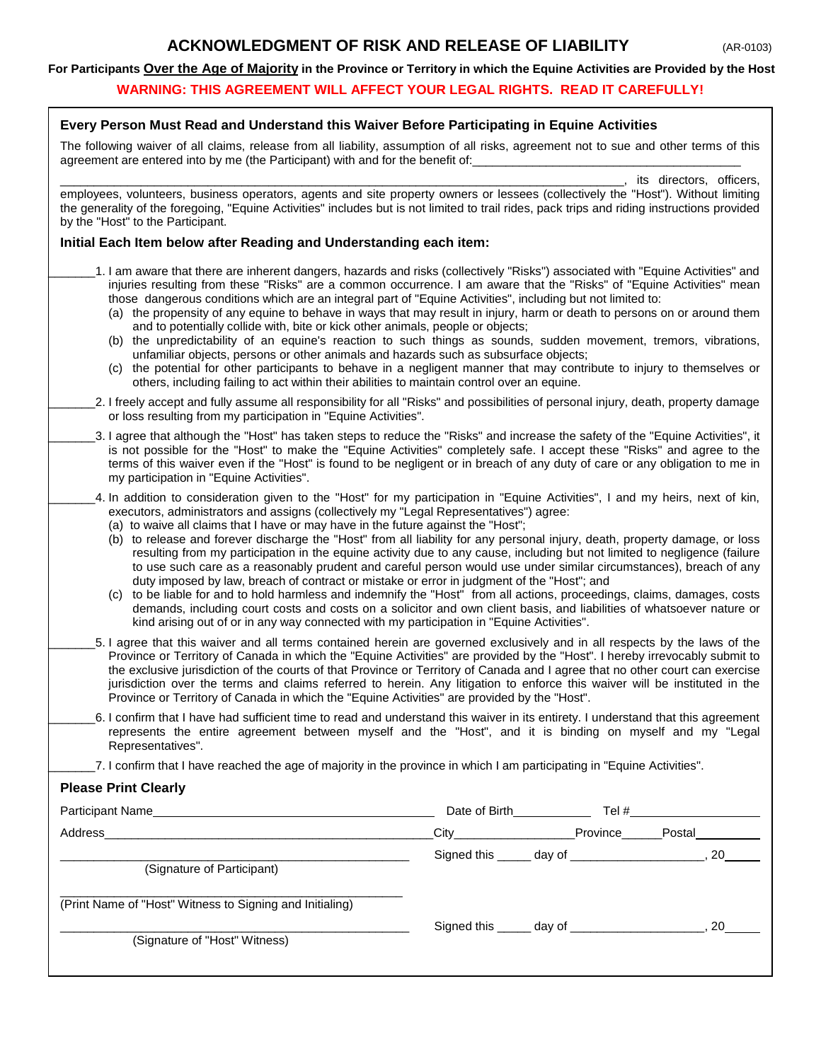## **EXAMPILEDGMENT OF RISK AND RELEASE OF LIABILITY AR-0103)**

#### **For Participants Over the Age of Majority in the Province or Territory in which the Equine Activities are Provided by the Host**

#### **WARNING: THIS AGREEMENT WILL AFFECT YOUR LEGAL RIGHTS. READ IT CAREFULLY!**

### **Every Person Must Read and Understand this Waiver Before Participating in Equine Activities**

The following waiver of all claims, release from all liability, assumption of all risks, agreement not to sue and other terms of this agreement are entered into by me (the Participant) with and for the benefit of:

its directors, officers,

employees, volunteers, business operators, agents and site property owners or lessees (collectively the "Host"). Without limiting the generality of the foregoing, "Equine Activities" includes but is not limited to trail rides, pack trips and riding instructions provided by the "Host" to the Participant.

#### **Initial Each Item below after Reading and Understanding each item:**

- \_\_\_\_\_\_\_1. I am aware that there are inherent dangers, hazards and risks (collectively "Risks") associated with "Equine Activities" and injuries resulting from these "Risks" are a common occurrence. I am aware that the "Risks" of "Equine Activities" mean those dangerous conditions which are an integral part of "Equine Activities", including but not limited to:
	- (a) the propensity of any equine to behave in ways that may result in injury, harm or death to persons on or around them and to potentially collide with, bite or kick other animals, people or objects;
	- (b) the unpredictability of an equine's reaction to such things as sounds, sudden movement, tremors, vibrations, unfamiliar objects, persons or other animals and hazards such as subsurface objects;
	- (c) the potential for other participants to behave in a negligent manner that may contribute to injury to themselves or others, including failing to act within their abilities to maintain control over an equine.
- 2. I freely accept and fully assume all responsibility for all "Risks" and possibilities of personal injury, death, property damage or loss resulting from my participation in "Equine Activities".
- \_\_\_\_\_\_\_3. I agree that although the "Host" has taken steps to reduce the "Risks" and increase the safety of the "Equine Activities", it is not possible for the "Host" to make the "Equine Activities" completely safe. I accept these "Risks" and agree to the terms of this waiver even if the "Host" is found to be negligent or in breach of any duty of care or any obligation to me in my participation in "Equine Activities".
- \_\_\_\_\_\_\_4. In addition to consideration given to the "Host" for my participation in "Equine Activities", I and my heirs, next of kin, executors, administrators and assigns (collectively my "Legal Representatives") agree:
	- (a) to waive all claims that I have or may have in the future against the "Host";
	- (b) to release and forever discharge the "Host" from all liability for any personal injury, death, property damage, or loss resulting from my participation in the equine activity due to any cause, including but not limited to negligence (failure to use such care as a reasonably prudent and careful person would use under similar circumstances), breach of any duty imposed by law, breach of contract or mistake or error in judgment of the "Host"; and
	- (c) to be liable for and to hold harmless and indemnify the "Host" from all actions, proceedings, claims, damages, costs demands, including court costs and costs on a solicitor and own client basis, and liabilities of whatsoever nature or kind arising out of or in any way connected with my participation in "Equine Activities".
- \_\_\_\_\_\_\_5. I agree that this waiver and all terms contained herein are governed exclusively and in all respects by the laws of the Province or Territory of Canada in which the "Equine Activities" are provided by the "Host". I hereby irrevocably submit to the exclusive jurisdiction of the courts of that Province or Territory of Canada and I agree that no other court can exercise jurisdiction over the terms and claims referred to herein. Any litigation to enforce this waiver will be instituted in the Province or Territory of Canada in which the "Equine Activities" are provided by the "Host".
- \_\_\_\_\_\_\_6. I confirm that I have had sufficient time to read and understand this waiver in its entirety. I understand that this agreement represents the entire agreement between myself and the "Host", and it is binding on myself and my "Legal Representatives".
- \_\_\_\_\_\_\_7. I confirm that I have reached the age of majority in the province in which I am participating in "Equine Activities".

### **Please Print Clearly**

| Participant Name                                         |                               | Date of Birth <b>Example</b> 2014 | Tel $#$ |
|----------------------------------------------------------|-------------------------------|-----------------------------------|---------|
| Address                                                  | $\overline{\phantom{a}}$ City | Province                          | Postal  |
| (Signature of Participant)                               |                               |                                   | 20      |
| (Print Name of "Host" Witness to Signing and Initialing) |                               |                                   | 20      |
| (Signature of "Host" Witness)                            |                               |                                   |         |